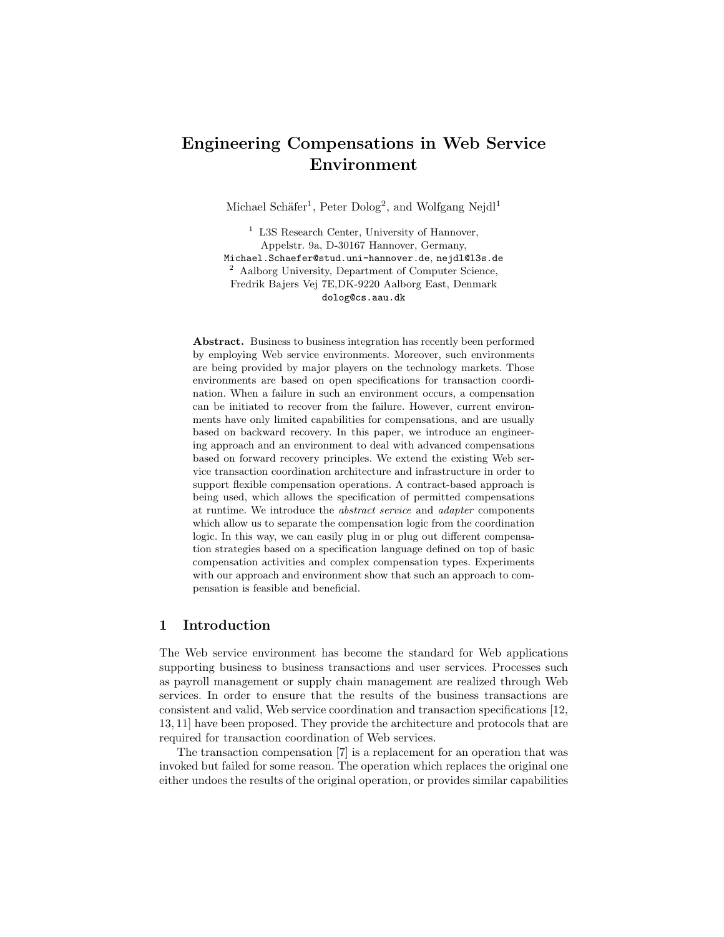# Engineering Compensations in Web Service Environment

Michael Schäfer<sup>1</sup>, Peter Dolog<sup>2</sup>, and Wolfgang Nejdl<sup>1</sup>

<sup>1</sup> L3S Research Center, University of Hannover, Appelstr. 9a, D-30167 Hannover, Germany, Michael.Schaefer@stud.uni-hannover.de, nejdl@l3s.de <sup>2</sup> Aalborg University, Department of Computer Science, Fredrik Bajers Vej 7E,DK-9220 Aalborg East, Denmark dolog@cs.aau.dk

Abstract. Business to business integration has recently been performed by employing Web service environments. Moreover, such environments are being provided by major players on the technology markets. Those environments are based on open specifications for transaction coordination. When a failure in such an environment occurs, a compensation can be initiated to recover from the failure. However, current environments have only limited capabilities for compensations, and are usually based on backward recovery. In this paper, we introduce an engineering approach and an environment to deal with advanced compensations based on forward recovery principles. We extend the existing Web service transaction coordination architecture and infrastructure in order to support flexible compensation operations. A contract-based approach is being used, which allows the specification of permitted compensations at runtime. We introduce the abstract service and adapter components which allow us to separate the compensation logic from the coordination logic. In this way, we can easily plug in or plug out different compensation strategies based on a specification language defined on top of basic compensation activities and complex compensation types. Experiments with our approach and environment show that such an approach to compensation is feasible and beneficial.

## 1 Introduction

The Web service environment has become the standard for Web applications supporting business to business transactions and user services. Processes such as payroll management or supply chain management are realized through Web services. In order to ensure that the results of the business transactions are consistent and valid, Web service coordination and transaction specifications [12, 13, 11] have been proposed. They provide the architecture and protocols that are required for transaction coordination of Web services.

The transaction compensation [7] is a replacement for an operation that was invoked but failed for some reason. The operation which replaces the original one either undoes the results of the original operation, or provides similar capabilities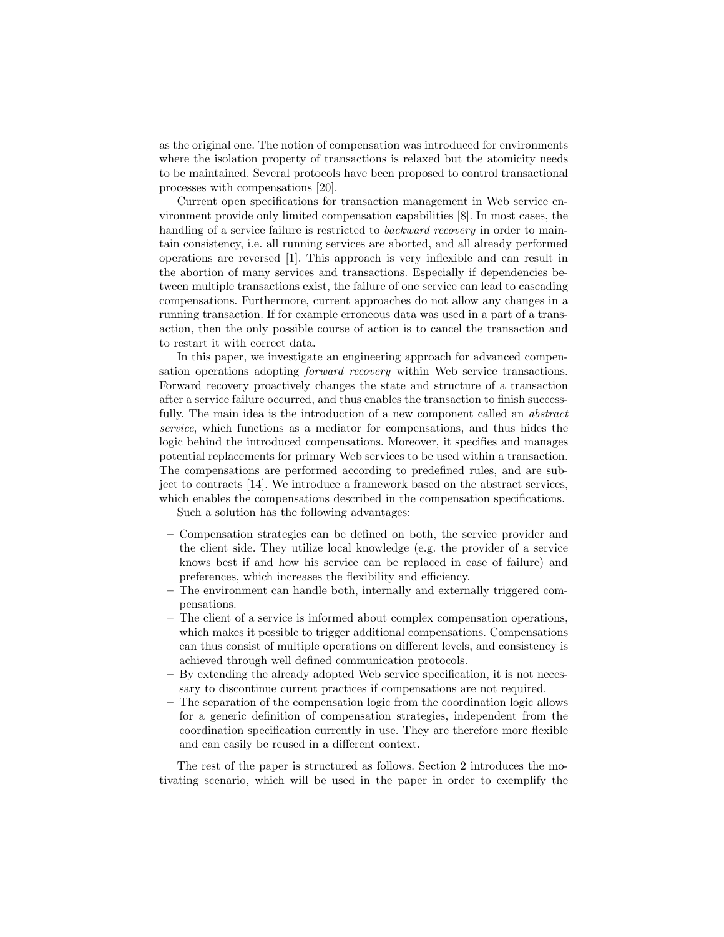as the original one. The notion of compensation was introduced for environments where the isolation property of transactions is relaxed but the atomicity needs to be maintained. Several protocols have been proposed to control transactional processes with compensations [20].

Current open specifications for transaction management in Web service environment provide only limited compensation capabilities [8]. In most cases, the handling of a service failure is restricted to *backward recovery* in order to maintain consistency, i.e. all running services are aborted, and all already performed operations are reversed [1]. This approach is very inflexible and can result in the abortion of many services and transactions. Especially if dependencies between multiple transactions exist, the failure of one service can lead to cascading compensations. Furthermore, current approaches do not allow any changes in a running transaction. If for example erroneous data was used in a part of a transaction, then the only possible course of action is to cancel the transaction and to restart it with correct data.

In this paper, we investigate an engineering approach for advanced compensation operations adopting *forward recovery* within Web service transactions. Forward recovery proactively changes the state and structure of a transaction after a service failure occurred, and thus enables the transaction to finish successfully. The main idea is the introduction of a new component called an *abstract* service, which functions as a mediator for compensations, and thus hides the logic behind the introduced compensations. Moreover, it specifies and manages potential replacements for primary Web services to be used within a transaction. The compensations are performed according to predefined rules, and are subject to contracts [14]. We introduce a framework based on the abstract services, which enables the compensations described in the compensation specifications.

Such a solution has the following advantages:

- Compensation strategies can be defined on both, the service provider and the client side. They utilize local knowledge (e.g. the provider of a service knows best if and how his service can be replaced in case of failure) and preferences, which increases the flexibility and efficiency.
- The environment can handle both, internally and externally triggered compensations.
- The client of a service is informed about complex compensation operations, which makes it possible to trigger additional compensations. Compensations can thus consist of multiple operations on different levels, and consistency is achieved through well defined communication protocols.
- By extending the already adopted Web service specification, it is not necessary to discontinue current practices if compensations are not required.
- The separation of the compensation logic from the coordination logic allows for a generic definition of compensation strategies, independent from the coordination specification currently in use. They are therefore more flexible and can easily be reused in a different context.

The rest of the paper is structured as follows. Section 2 introduces the motivating scenario, which will be used in the paper in order to exemplify the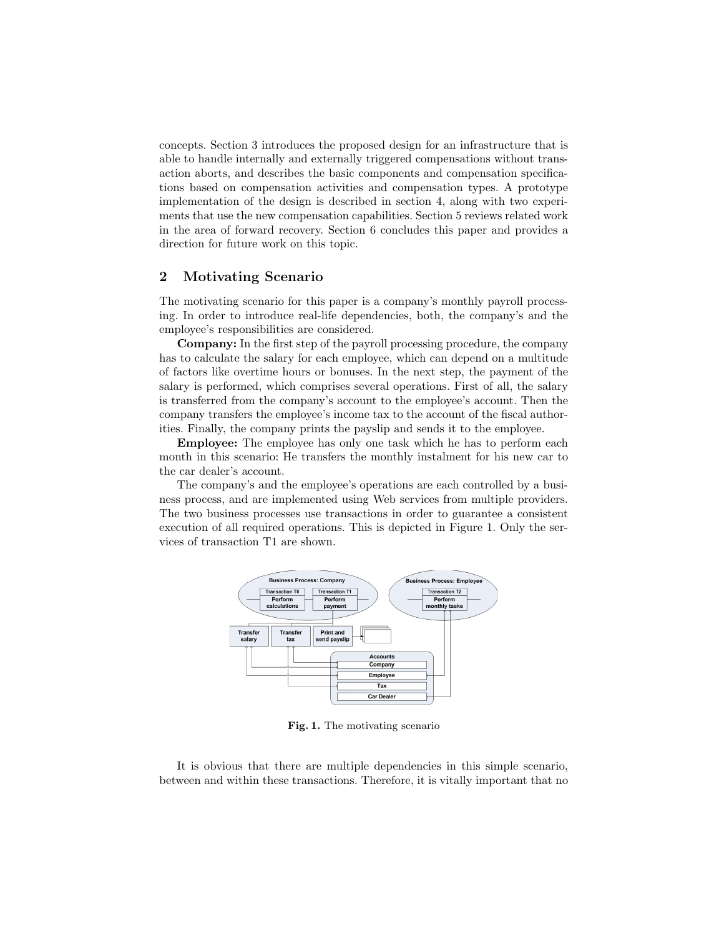concepts. Section 3 introduces the proposed design for an infrastructure that is able to handle internally and externally triggered compensations without transaction aborts, and describes the basic components and compensation specifications based on compensation activities and compensation types. A prototype implementation of the design is described in section 4, along with two experiments that use the new compensation capabilities. Section 5 reviews related work in the area of forward recovery. Section 6 concludes this paper and provides a direction for future work on this topic.

## 2 Motivating Scenario

The motivating scenario for this paper is a company's monthly payroll processing. In order to introduce real-life dependencies, both, the company's and the employee's responsibilities are considered.

Company: In the first step of the payroll processing procedure, the company has to calculate the salary for each employee, which can depend on a multitude of factors like overtime hours or bonuses. In the next step, the payment of the salary is performed, which comprises several operations. First of all, the salary is transferred from the company's account to the employee's account. Then the company transfers the employee's income tax to the account of the fiscal authorities. Finally, the company prints the payslip and sends it to the employee.

Employee: The employee has only one task which he has to perform each month in this scenario: He transfers the monthly instalment for his new car to the car dealer's account.

The company's and the employee's operations are each controlled by a business process, and are implemented using Web services from multiple providers. The two business processes use transactions in order to guarantee a consistent execution of all required operations. This is depicted in Figure 1. Only the services of transaction T1 are shown.



Fig. 1. The motivating scenario

It is obvious that there are multiple dependencies in this simple scenario, between and within these transactions. Therefore, it is vitally important that no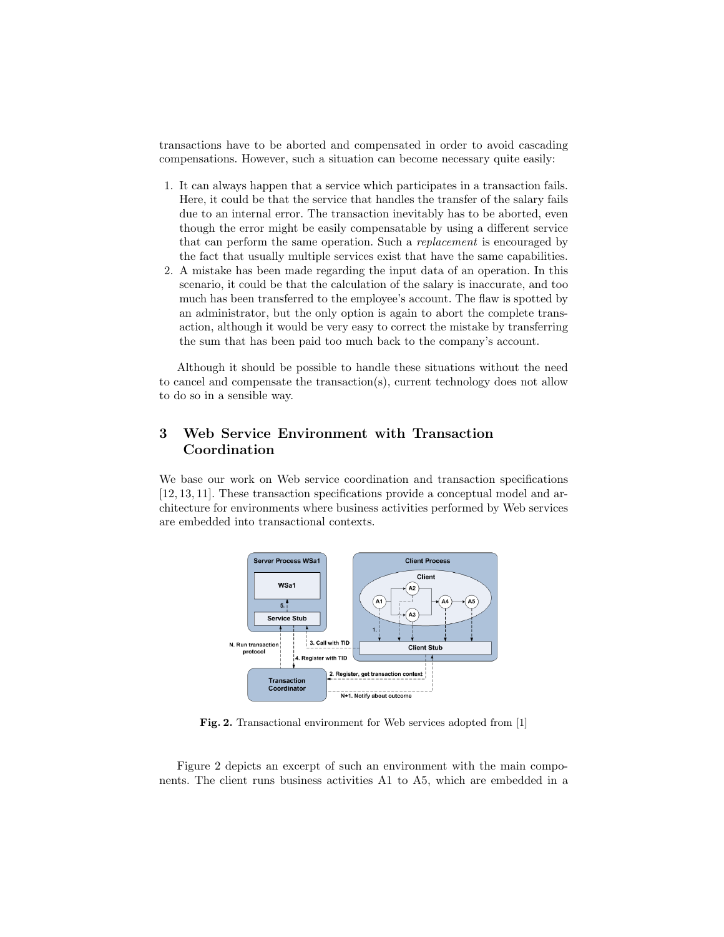transactions have to be aborted and compensated in order to avoid cascading compensations. However, such a situation can become necessary quite easily:

- 1. It can always happen that a service which participates in a transaction fails. Here, it could be that the service that handles the transfer of the salary fails due to an internal error. The transaction inevitably has to be aborted, even though the error might be easily compensatable by using a different service that can perform the same operation. Such a replacement is encouraged by the fact that usually multiple services exist that have the same capabilities.
- 2. A mistake has been made regarding the input data of an operation. In this scenario, it could be that the calculation of the salary is inaccurate, and too much has been transferred to the employee's account. The flaw is spotted by an administrator, but the only option is again to abort the complete transaction, although it would be very easy to correct the mistake by transferring the sum that has been paid too much back to the company's account.

Although it should be possible to handle these situations without the need to cancel and compensate the transaction(s), current technology does not allow to do so in a sensible way.

# 3 Web Service Environment with Transaction Coordination

We base our work on Web service coordination and transaction specifications [12, 13, 11]. These transaction specifications provide a conceptual model and architecture for environments where business activities performed by Web services are embedded into transactional contexts.



Fig. 2. Transactional environment for Web services adopted from [1]

Figure 2 depicts an excerpt of such an environment with the main components. The client runs business activities A1 to A5, which are embedded in a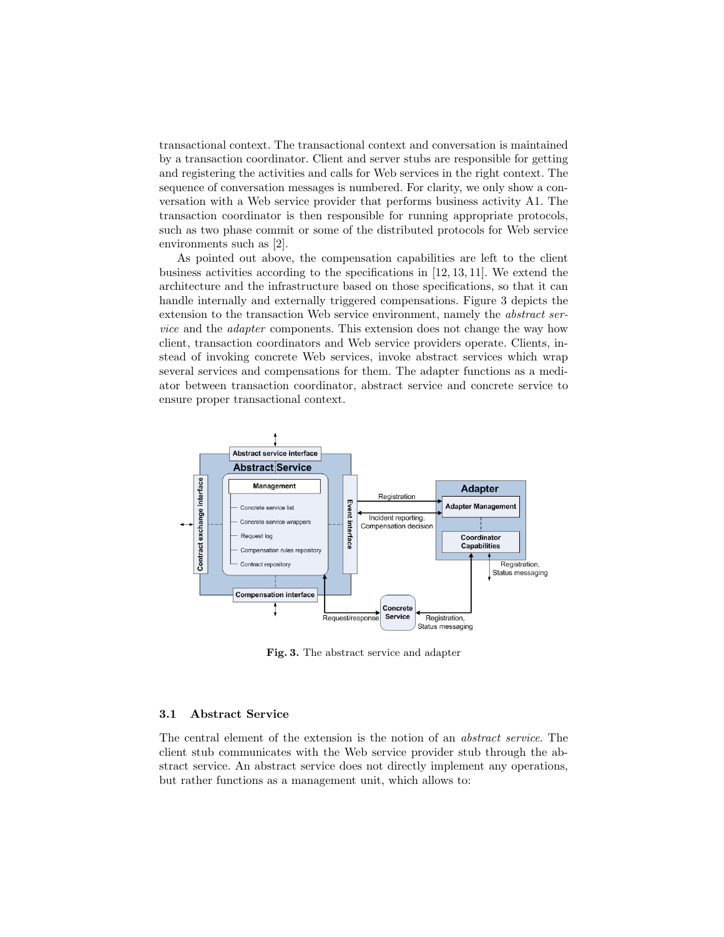transactional context. The transactional context and conversation is maintained by a transaction coordinator. Client and server stubs are responsible for getting and registering the activities and calls for Web services in the right context. The sequence of conversation messages is numbered. For clarity, we only show a conversation with a Web service provider that performs business activity A1. The transaction coordinator is then responsible for running appropriate protocols, such as two phase commit or some of the distributed protocols for Web service environments such as [2].

As pointed out above, the compensation capabilities are left to the client business activities according to the specifications in [12, 13, 11]. We extend the architecture and the infrastructure based on those specifications, so that it can handle internally and externally triggered compensations. Figure 3 depicts the extension to the transaction Web service environment, namely the abstract service and the adapter components. This extension does not change the way how client, transaction coordinators and Web service providers operate. Clients, instead of invoking concrete Web services, invoke abstract services which wrap several services and compensations for them. The adapter functions as a mediator between transaction coordinator, abstract service and concrete service to ensure proper transactional context.



Fig. 3. The abstract service and adapter

#### 3.1 Abstract Service

The central element of the extension is the notion of an abstract service. The client stub communicates with the Web service provider stub through the abstract service. An abstract service does not directly implement any operations, but rather functions as a management unit, which allows to: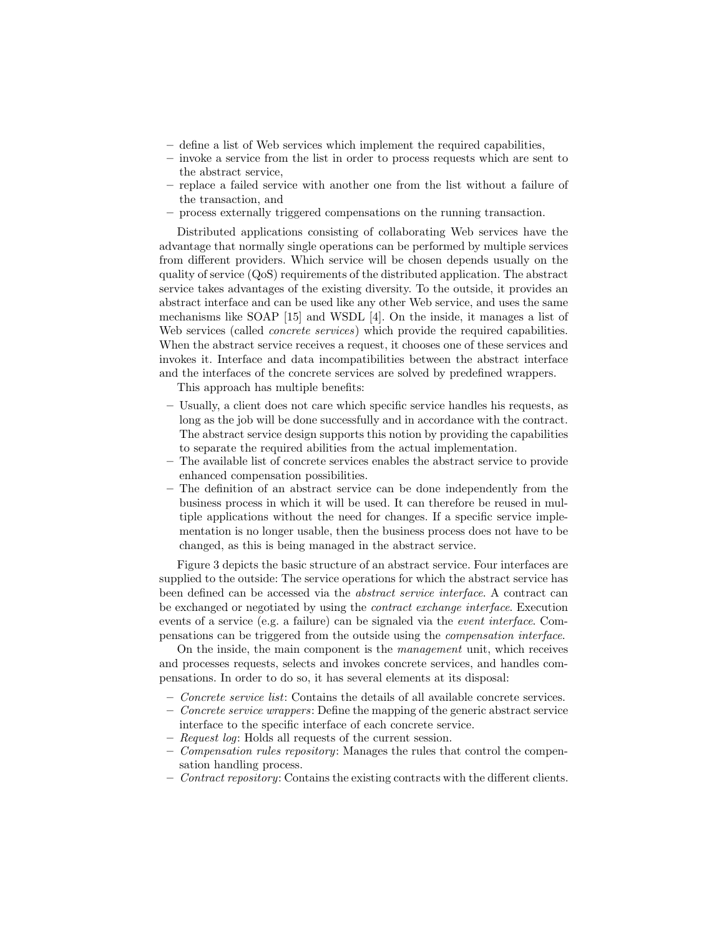- define a list of Web services which implement the required capabilities,
- invoke a service from the list in order to process requests which are sent to the abstract service,
- replace a failed service with another one from the list without a failure of the transaction, and
- process externally triggered compensations on the running transaction.

Distributed applications consisting of collaborating Web services have the advantage that normally single operations can be performed by multiple services from different providers. Which service will be chosen depends usually on the quality of service (QoS) requirements of the distributed application. The abstract service takes advantages of the existing diversity. To the outside, it provides an abstract interface and can be used like any other Web service, and uses the same mechanisms like SOAP [15] and WSDL [4]. On the inside, it manages a list of Web services (called *concrete services*) which provide the required capabilities. When the abstract service receives a request, it chooses one of these services and invokes it. Interface and data incompatibilities between the abstract interface and the interfaces of the concrete services are solved by predefined wrappers.

This approach has multiple benefits:

- Usually, a client does not care which specific service handles his requests, as long as the job will be done successfully and in accordance with the contract. The abstract service design supports this notion by providing the capabilities to separate the required abilities from the actual implementation.
- The available list of concrete services enables the abstract service to provide enhanced compensation possibilities.
- The definition of an abstract service can be done independently from the business process in which it will be used. It can therefore be reused in multiple applications without the need for changes. If a specific service implementation is no longer usable, then the business process does not have to be changed, as this is being managed in the abstract service.

Figure 3 depicts the basic structure of an abstract service. Four interfaces are supplied to the outside: The service operations for which the abstract service has been defined can be accessed via the abstract service interface. A contract can be exchanged or negotiated by using the contract exchange interface. Execution events of a service (e.g. a failure) can be signaled via the event interface. Compensations can be triggered from the outside using the compensation interface.

On the inside, the main component is the management unit, which receives and processes requests, selects and invokes concrete services, and handles compensations. In order to do so, it has several elements at its disposal:

- Concrete service list: Contains the details of all available concrete services.
- $\sim$  Concrete service wrappers: Define the mapping of the generic abstract service interface to the specific interface of each concrete service.
- Request log: Holds all requests of the current session.
- Compensation rules repository: Manages the rules that control the compensation handling process.
- $\sim$  Contract repository: Contains the existing contracts with the different clients.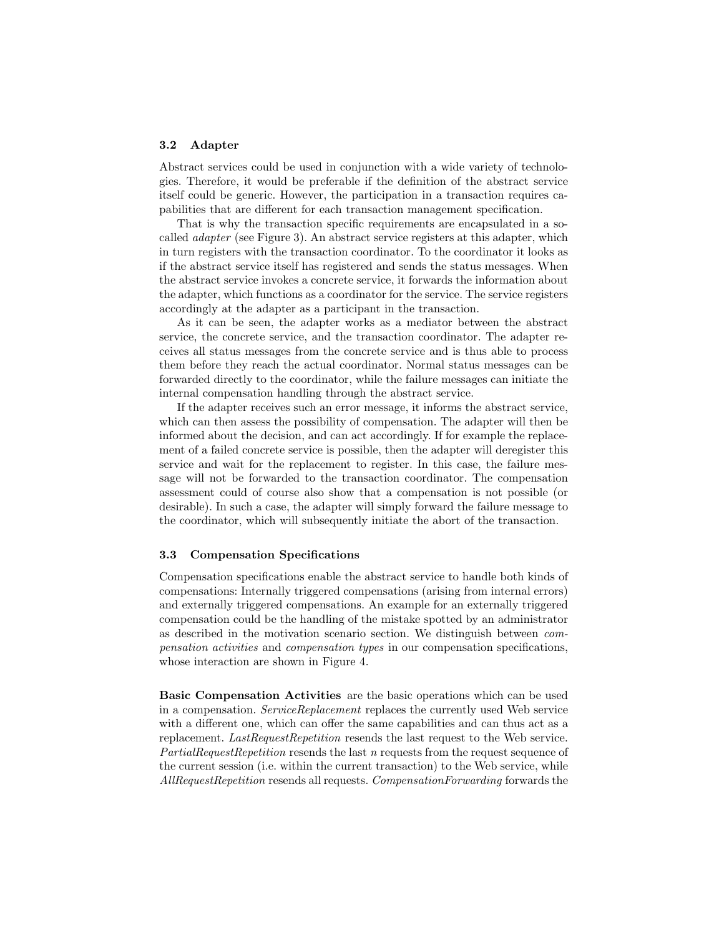#### 3.2 Adapter

Abstract services could be used in conjunction with a wide variety of technologies. Therefore, it would be preferable if the definition of the abstract service itself could be generic. However, the participation in a transaction requires capabilities that are different for each transaction management specification.

That is why the transaction specific requirements are encapsulated in a socalled adapter (see Figure 3). An abstract service registers at this adapter, which in turn registers with the transaction coordinator. To the coordinator it looks as if the abstract service itself has registered and sends the status messages. When the abstract service invokes a concrete service, it forwards the information about the adapter, which functions as a coordinator for the service. The service registers accordingly at the adapter as a participant in the transaction.

As it can be seen, the adapter works as a mediator between the abstract service, the concrete service, and the transaction coordinator. The adapter receives all status messages from the concrete service and is thus able to process them before they reach the actual coordinator. Normal status messages can be forwarded directly to the coordinator, while the failure messages can initiate the internal compensation handling through the abstract service.

If the adapter receives such an error message, it informs the abstract service, which can then assess the possibility of compensation. The adapter will then be informed about the decision, and can act accordingly. If for example the replacement of a failed concrete service is possible, then the adapter will deregister this service and wait for the replacement to register. In this case, the failure message will not be forwarded to the transaction coordinator. The compensation assessment could of course also show that a compensation is not possible (or desirable). In such a case, the adapter will simply forward the failure message to the coordinator, which will subsequently initiate the abort of the transaction.

#### 3.3 Compensation Specifications

Compensation specifications enable the abstract service to handle both kinds of compensations: Internally triggered compensations (arising from internal errors) and externally triggered compensations. An example for an externally triggered compensation could be the handling of the mistake spotted by an administrator as described in the motivation scenario section. We distinguish between compensation activities and compensation types in our compensation specifications, whose interaction are shown in Figure 4.

Basic Compensation Activities are the basic operations which can be used in a compensation. ServiceReplacement replaces the currently used Web service with a different one, which can offer the same capabilities and can thus act as a replacement. LastRequestRepetition resends the last request to the Web service. PartialRequestRepetition resends the last n requests from the request sequence of the current session (i.e. within the current transaction) to the Web service, while AllRequestRepetition resends all requests. CompensationForwarding forwards the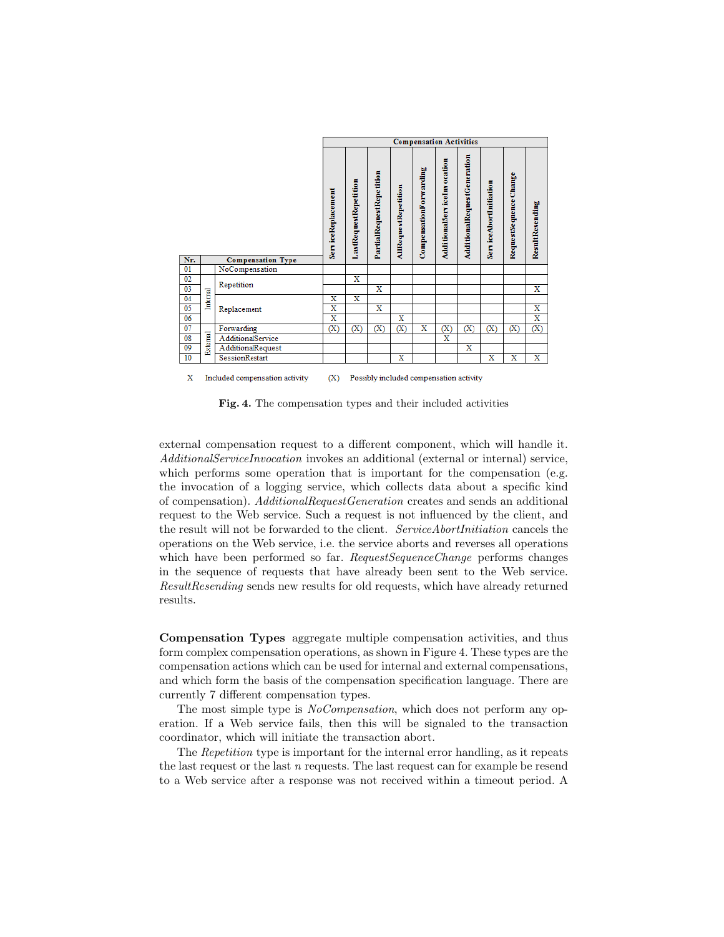|                |          |                          | <b>Compensation Activities</b> |                         |                          |                             |                        |                             |                             |                         |                         |                         |
|----------------|----------|--------------------------|--------------------------------|-------------------------|--------------------------|-----------------------------|------------------------|-----------------------------|-----------------------------|-------------------------|-------------------------|-------------------------|
|                |          |                          | ServiceReplacement             | LastRequestRepetition   | PartialRequestRepetition | <b>AllRequestRepetition</b> | CompensationForwarding | AdditionalServiceIm ocation | AdditionalRequestGeneration | ServiceAbortInitiation  | RequestSequence Change  | ResultResending         |
| Nr.            |          | <b>Compensation Type</b> |                                |                         |                          |                             |                        |                             |                             |                         |                         |                         |
| 01             |          | NoCompensation           |                                |                         |                          |                             |                        |                             |                             |                         |                         |                         |
| 02             | Internal | Repetition               |                                | $\overline{\textbf{x}}$ |                          |                             |                        |                             |                             |                         |                         |                         |
| 0 <sup>3</sup> |          |                          |                                |                         | $\overline{\textbf{x}}$  |                             |                        |                             |                             |                         |                         | $\overline{\mathbf{x}}$ |
| 04             |          | Replacement              | $\overline{\textbf{x}}$        | $\overline{\textbf{x}}$ |                          |                             |                        |                             |                             |                         |                         |                         |
| 05             |          |                          | $\overline{\text{X}}$          |                         | $\overline{\text{X}}$    |                             |                        |                             |                             |                         |                         | x                       |
| 06             |          |                          | $\overline{\textbf{x}}$        |                         |                          | $\overline{\text{X}}$       |                        |                             |                             |                         |                         | X                       |
| 07             | ixternal | Forwarding               | (X)                            | (X)                     | $(\overline{X})$         | $(\overline{X})$            | $\overline{\text{x}}$  | (X)                         | (X)                         | $(\overline{X})$        | $(\overline{X})$        | $(\overline{X})$        |
| 08             |          | AdditionalService        |                                |                         |                          |                             |                        | $\overline{\text{x}}$       |                             |                         |                         |                         |
| 09             |          | AdditionalRequest        |                                |                         |                          |                             |                        |                             | $\overline{\textbf{x}}$     |                         |                         |                         |
| 10             |          | SessionRestart           |                                |                         |                          | $\overline{\textbf{x}}$     |                        |                             |                             | $\overline{\textbf{x}}$ | $\overline{\textbf{x}}$ | $\overline{\text{X}}$   |
|                |          |                          |                                |                         |                          |                             |                        |                             |                             |                         |                         |                         |

X Included compensation activity (X) Possibly included compensation activity

Fig. 4. The compensation types and their included activities

external compensation request to a different component, which will handle it. AdditionalServiceInvocation invokes an additional (external or internal) service, which performs some operation that is important for the compensation (e.g. the invocation of a logging service, which collects data about a specific kind of compensation). AdditionalRequestGeneration creates and sends an additional request to the Web service. Such a request is not influenced by the client, and the result will not be forwarded to the client. ServiceAbortInitiation cancels the operations on the Web service, i.e. the service aborts and reverses all operations which have been performed so far. RequestSequenceChange performs changes in the sequence of requests that have already been sent to the Web service. ResultResending sends new results for old requests, which have already returned results.

Compensation Types aggregate multiple compensation activities, and thus form complex compensation operations, as shown in Figure 4. These types are the compensation actions which can be used for internal and external compensations, and which form the basis of the compensation specification language. There are currently 7 different compensation types.

The most simple type is *NoCompensation*, which does not perform any operation. If a Web service fails, then this will be signaled to the transaction coordinator, which will initiate the transaction abort.

The Repetition type is important for the internal error handling, as it repeats the last request or the last  $n$  requests. The last request can for example be resend to a Web service after a response was not received within a timeout period. A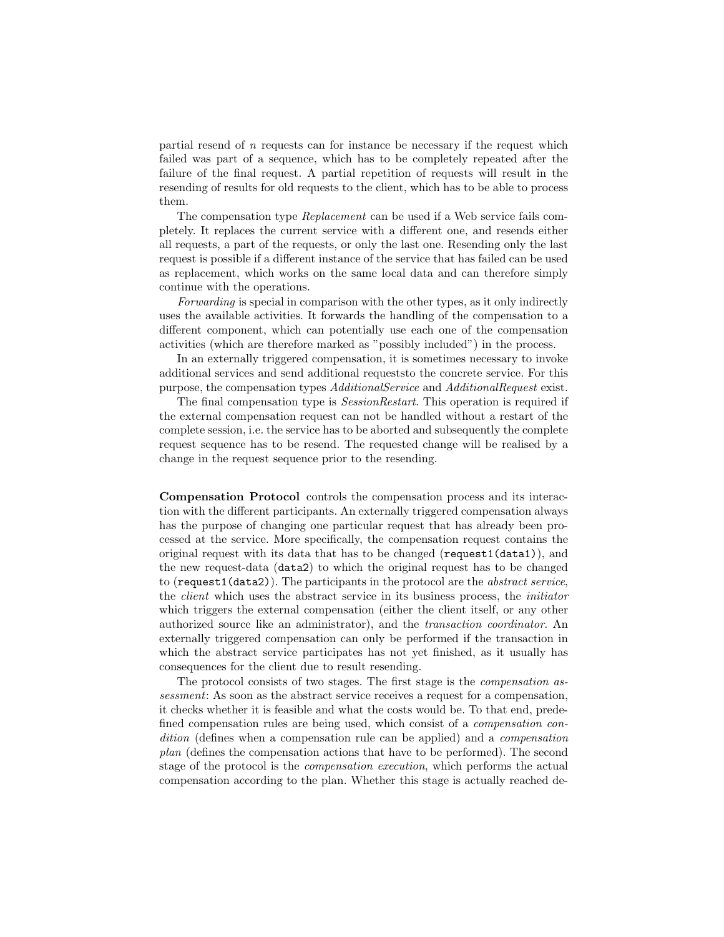partial resend of n requests can for instance be necessary if the request which failed was part of a sequence, which has to be completely repeated after the failure of the final request. A partial repetition of requests will result in the resending of results for old requests to the client, which has to be able to process them.

The compensation type Replacement can be used if a Web service fails completely. It replaces the current service with a different one, and resends either all requests, a part of the requests, or only the last one. Resending only the last request is possible if a different instance of the service that has failed can be used as replacement, which works on the same local data and can therefore simply continue with the operations.

Forwarding is special in comparison with the other types, as it only indirectly uses the available activities. It forwards the handling of the compensation to a different component, which can potentially use each one of the compensation activities (which are therefore marked as "possibly included") in the process.

In an externally triggered compensation, it is sometimes necessary to invoke additional services and send additional requeststo the concrete service. For this purpose, the compensation types AdditionalService and AdditionalRequest exist.

The final compensation type is *SessionRestart*. This operation is required if the external compensation request can not be handled without a restart of the complete session, i.e. the service has to be aborted and subsequently the complete request sequence has to be resend. The requested change will be realised by a change in the request sequence prior to the resending.

Compensation Protocol controls the compensation process and its interaction with the different participants. An externally triggered compensation always has the purpose of changing one particular request that has already been processed at the service. More specifically, the compensation request contains the original request with its data that has to be changed (request1(data1)), and the new request-data (data2) to which the original request has to be changed to (request1(data2)). The participants in the protocol are the abstract service, the client which uses the abstract service in its business process, the initiator which triggers the external compensation (either the client itself, or any other authorized source like an administrator), and the transaction coordinator. An externally triggered compensation can only be performed if the transaction in which the abstract service participates has not yet finished, as it usually has consequences for the client due to result resending.

The protocol consists of two stages. The first stage is the compensation assessment: As soon as the abstract service receives a request for a compensation, it checks whether it is feasible and what the costs would be. To that end, predefined compensation rules are being used, which consist of a compensation condition (defines when a compensation rule can be applied) and a compensation plan (defines the compensation actions that have to be performed). The second stage of the protocol is the compensation execution, which performs the actual compensation according to the plan. Whether this stage is actually reached de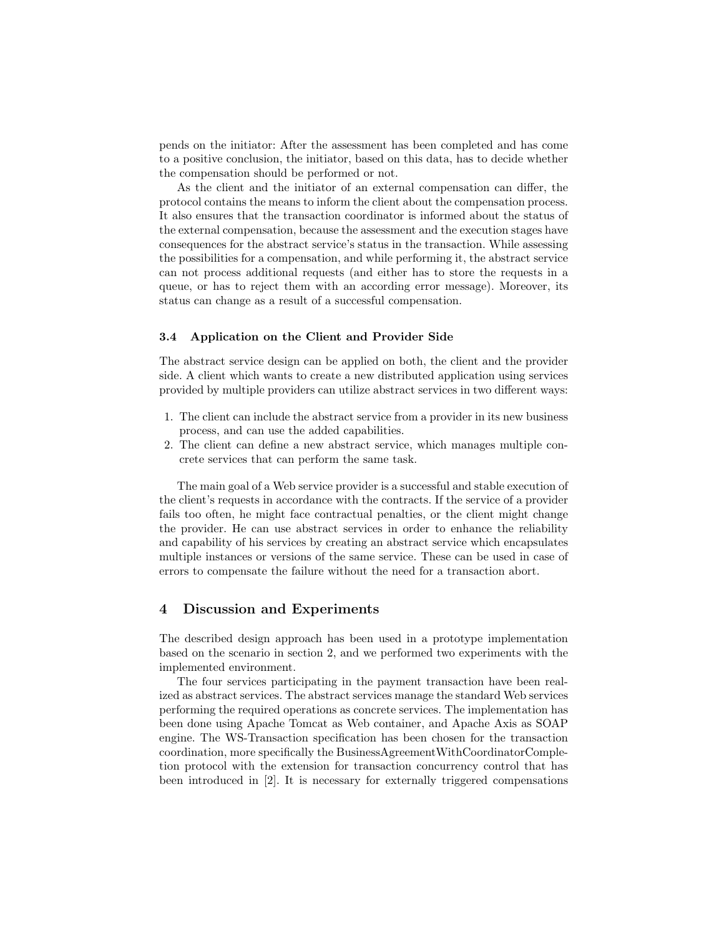pends on the initiator: After the assessment has been completed and has come to a positive conclusion, the initiator, based on this data, has to decide whether the compensation should be performed or not.

As the client and the initiator of an external compensation can differ, the protocol contains the means to inform the client about the compensation process. It also ensures that the transaction coordinator is informed about the status of the external compensation, because the assessment and the execution stages have consequences for the abstract service's status in the transaction. While assessing the possibilities for a compensation, and while performing it, the abstract service can not process additional requests (and either has to store the requests in a queue, or has to reject them with an according error message). Moreover, its status can change as a result of a successful compensation.

#### 3.4 Application on the Client and Provider Side

The abstract service design can be applied on both, the client and the provider side. A client which wants to create a new distributed application using services provided by multiple providers can utilize abstract services in two different ways:

- 1. The client can include the abstract service from a provider in its new business process, and can use the added capabilities.
- 2. The client can define a new abstract service, which manages multiple concrete services that can perform the same task.

The main goal of a Web service provider is a successful and stable execution of the client's requests in accordance with the contracts. If the service of a provider fails too often, he might face contractual penalties, or the client might change the provider. He can use abstract services in order to enhance the reliability and capability of his services by creating an abstract service which encapsulates multiple instances or versions of the same service. These can be used in case of errors to compensate the failure without the need for a transaction abort.

### 4 Discussion and Experiments

The described design approach has been used in a prototype implementation based on the scenario in section 2, and we performed two experiments with the implemented environment.

The four services participating in the payment transaction have been realized as abstract services. The abstract services manage the standard Web services performing the required operations as concrete services. The implementation has been done using Apache Tomcat as Web container, and Apache Axis as SOAP engine. The WS-Transaction specification has been chosen for the transaction coordination, more specifically the BusinessAgreementWithCoordinatorCompletion protocol with the extension for transaction concurrency control that has been introduced in [2]. It is necessary for externally triggered compensations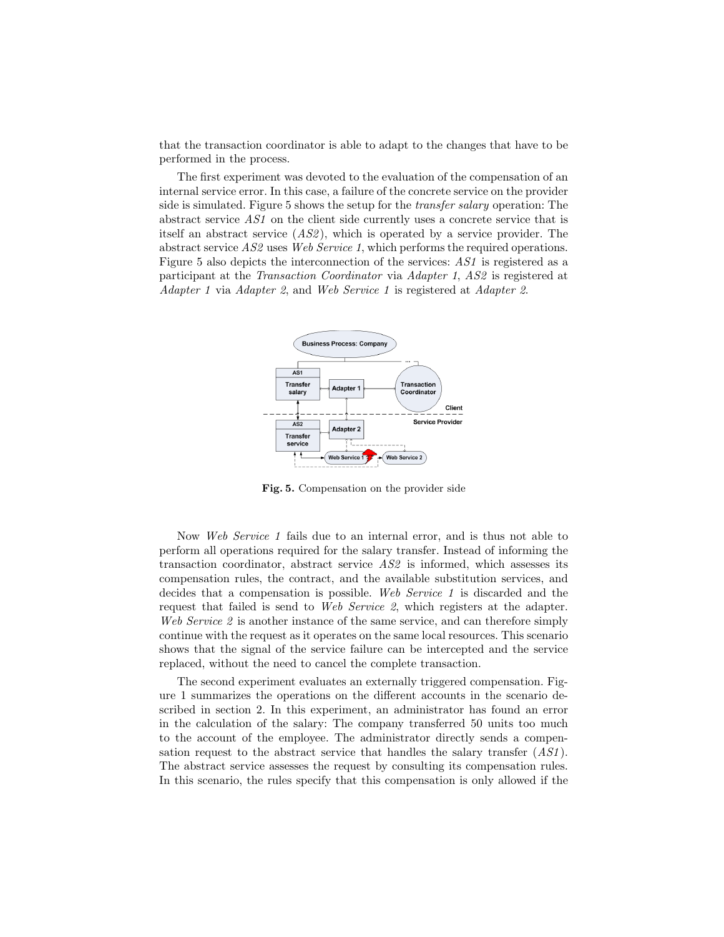that the transaction coordinator is able to adapt to the changes that have to be performed in the process.

The first experiment was devoted to the evaluation of the compensation of an internal service error. In this case, a failure of the concrete service on the provider side is simulated. Figure 5 shows the setup for the *transfer salary* operation: The abstract service AS1 on the client side currently uses a concrete service that is itself an abstract service  $(AS2)$ , which is operated by a service provider. The abstract service AS2 uses Web Service 1, which performs the required operations. Figure 5 also depicts the interconnection of the services: AS1 is registered as a participant at the Transaction Coordinator via Adapter 1, AS2 is registered at Adapter 1 via Adapter 2, and Web Service 1 is registered at Adapter 2.



Fig. 5. Compensation on the provider side

Now Web Service 1 fails due to an internal error, and is thus not able to perform all operations required for the salary transfer. Instead of informing the transaction coordinator, abstract service AS2 is informed, which assesses its compensation rules, the contract, and the available substitution services, and decides that a compensation is possible. Web Service 1 is discarded and the request that failed is send to Web Service 2, which registers at the adapter. Web Service 2 is another instance of the same service, and can therefore simply continue with the request as it operates on the same local resources. This scenario shows that the signal of the service failure can be intercepted and the service replaced, without the need to cancel the complete transaction.

The second experiment evaluates an externally triggered compensation. Figure 1 summarizes the operations on the different accounts in the scenario described in section 2. In this experiment, an administrator has found an error in the calculation of the salary: The company transferred 50 units too much to the account of the employee. The administrator directly sends a compensation request to the abstract service that handles the salary transfer  $(AS1)$ . The abstract service assesses the request by consulting its compensation rules. In this scenario, the rules specify that this compensation is only allowed if the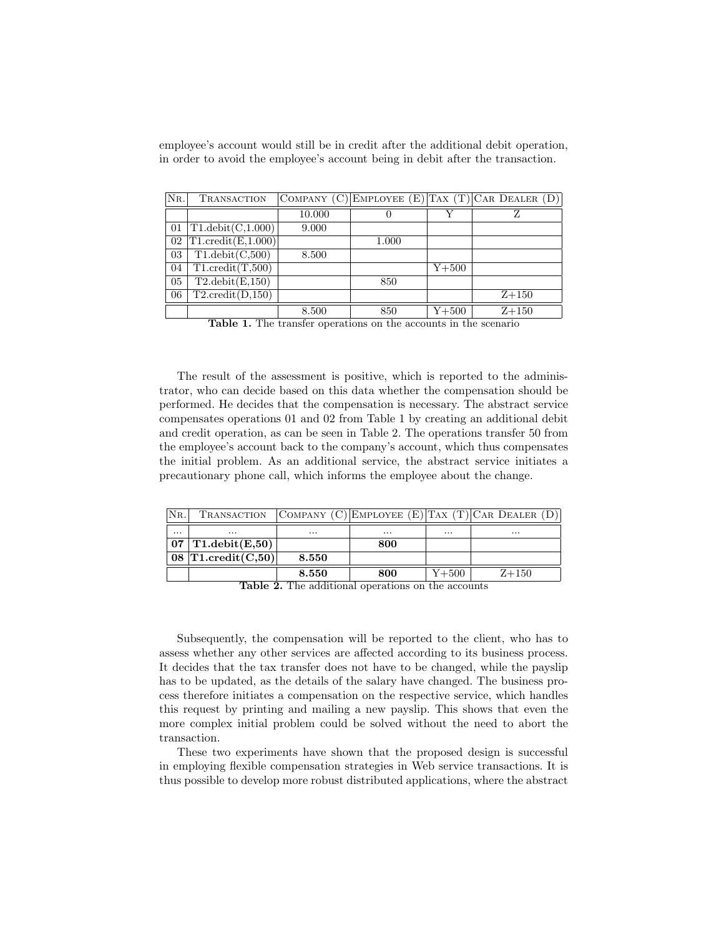employee's account would still be in credit after the additional debit operation, in order to avoid the employee's account being in debit after the transaction.

| NR. | TRANSACTION                   |        |       |           | COMPANY $(C) $ EMPLOYEE $(E) $ TAX $(T) $ CAR DEALER $(D) $ |
|-----|-------------------------------|--------|-------|-----------|-------------------------------------------------------------|
|     |                               | 10.000 | 0     | V         | Ζ                                                           |
| 01  | $T1.$ debit $(C,1.000)$       | 9.000  |       |           |                                                             |
| 02  | $T1. \text{credit}(E, 1.000)$ |        | 1.000 |           |                                                             |
| 03  | $T1.$ debit $(C,500)$         | 8.500  |       |           |                                                             |
| 04  | $T1. \text{credit}(T, 500)$   |        |       | $Y + 500$ |                                                             |
| 05  | T2.debit(E,150)               |        | 850   |           |                                                             |
| 06  | $T2. \text{credit}(D, 150)$   |        |       |           | $Z + 150$                                                   |
|     |                               | 8.500  | 850   | $Y + 500$ | $Z + 150$                                                   |

Table 1. The transfer operations on the accounts in the scenario

The result of the assessment is positive, which is reported to the administrator, who can decide based on this data whether the compensation should be performed. He decides that the compensation is necessary. The abstract service compensates operations 01 and 02 from Table 1 by creating an additional debit and credit operation, as can be seen in Table 2. The operations transfer 50 from the employee's account back to the company's account, which thus compensates the initial problem. As an additional service, the abstract service initiates a precautionary phone call, which informs the employee about the change.

| NR.                 |                                            |          |          |           | TRANSACTION COMPANY (C) EMPLOYEE (E) TAX (T) CAR DEALER (D) |  |  |
|---------------------|--------------------------------------------|----------|----------|-----------|-------------------------------------------------------------|--|--|
| $\cdots$            | $\cdots$                                   | $\cdots$ | $\cdots$ | $\cdots$  | $\cdots$                                                    |  |  |
|                     | $\boxed{07}$ T1.debit(E,50)                |          | 800      |           |                                                             |  |  |
|                     | 08 $\left  \text{T1.credit}(C,50) \right $ | 8.550    |          |           |                                                             |  |  |
|                     |                                            | 8.550    | 800      | $Y + 500$ | $Z + 150$                                                   |  |  |
| ---------<br>.<br>. |                                            |          |          |           |                                                             |  |  |

Table 2. The additional operations on the accounts

Subsequently, the compensation will be reported to the client, who has to assess whether any other services are affected according to its business process. It decides that the tax transfer does not have to be changed, while the payslip has to be updated, as the details of the salary have changed. The business process therefore initiates a compensation on the respective service, which handles this request by printing and mailing a new payslip. This shows that even the more complex initial problem could be solved without the need to abort the transaction.

These two experiments have shown that the proposed design is successful in employing flexible compensation strategies in Web service transactions. It is thus possible to develop more robust distributed applications, where the abstract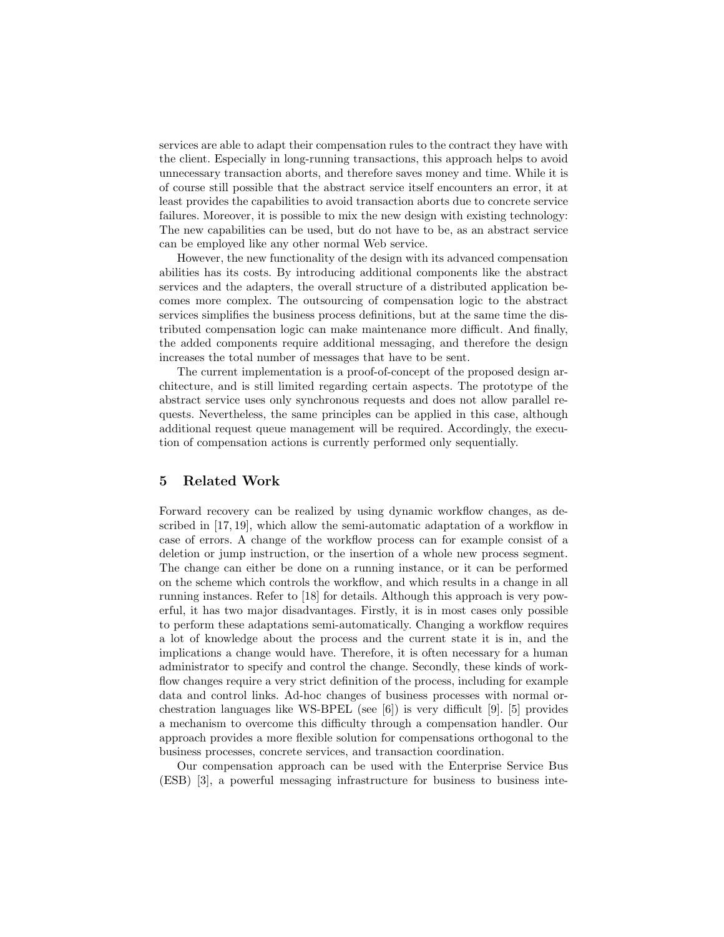services are able to adapt their compensation rules to the contract they have with the client. Especially in long-running transactions, this approach helps to avoid unnecessary transaction aborts, and therefore saves money and time. While it is of course still possible that the abstract service itself encounters an error, it at least provides the capabilities to avoid transaction aborts due to concrete service failures. Moreover, it is possible to mix the new design with existing technology: The new capabilities can be used, but do not have to be, as an abstract service can be employed like any other normal Web service.

However, the new functionality of the design with its advanced compensation abilities has its costs. By introducing additional components like the abstract services and the adapters, the overall structure of a distributed application becomes more complex. The outsourcing of compensation logic to the abstract services simplifies the business process definitions, but at the same time the distributed compensation logic can make maintenance more difficult. And finally, the added components require additional messaging, and therefore the design increases the total number of messages that have to be sent.

The current implementation is a proof-of-concept of the proposed design architecture, and is still limited regarding certain aspects. The prototype of the abstract service uses only synchronous requests and does not allow parallel requests. Nevertheless, the same principles can be applied in this case, although additional request queue management will be required. Accordingly, the execution of compensation actions is currently performed only sequentially.

## 5 Related Work

Forward recovery can be realized by using dynamic workflow changes, as described in [17, 19], which allow the semi-automatic adaptation of a workflow in case of errors. A change of the workflow process can for example consist of a deletion or jump instruction, or the insertion of a whole new process segment. The change can either be done on a running instance, or it can be performed on the scheme which controls the workflow, and which results in a change in all running instances. Refer to [18] for details. Although this approach is very powerful, it has two major disadvantages. Firstly, it is in most cases only possible to perform these adaptations semi-automatically. Changing a workflow requires a lot of knowledge about the process and the current state it is in, and the implications a change would have. Therefore, it is often necessary for a human administrator to specify and control the change. Secondly, these kinds of workflow changes require a very strict definition of the process, including for example data and control links. Ad-hoc changes of business processes with normal orchestration languages like WS-BPEL (see [6]) is very difficult [9]. [5] provides a mechanism to overcome this difficulty through a compensation handler. Our approach provides a more flexible solution for compensations orthogonal to the business processes, concrete services, and transaction coordination.

Our compensation approach can be used with the Enterprise Service Bus (ESB) [3], a powerful messaging infrastructure for business to business inte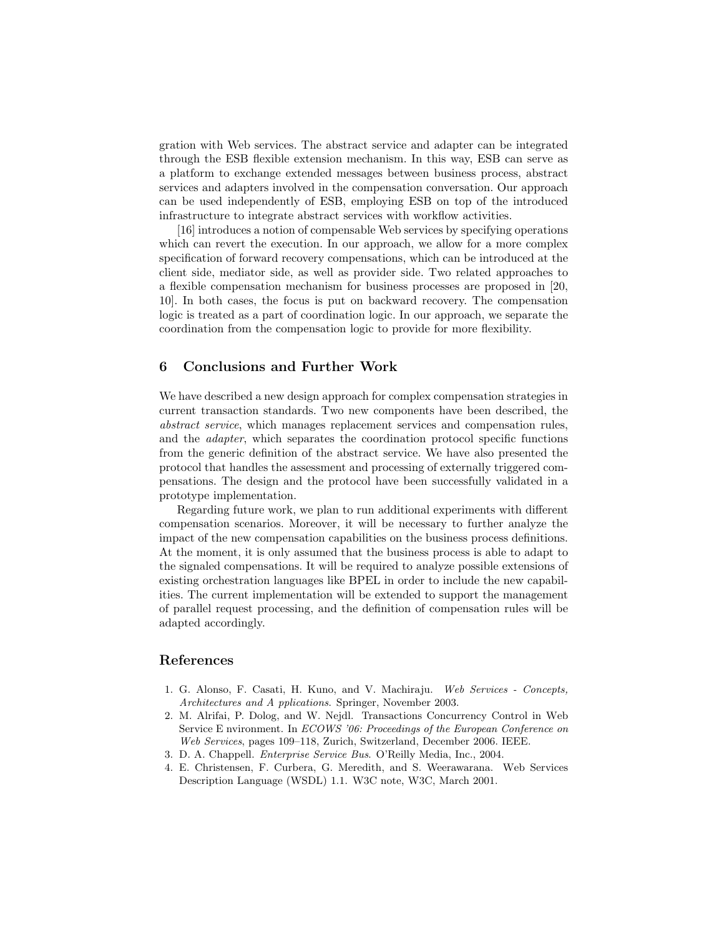gration with Web services. The abstract service and adapter can be integrated through the ESB flexible extension mechanism. In this way, ESB can serve as a platform to exchange extended messages between business process, abstract services and adapters involved in the compensation conversation. Our approach can be used independently of ESB, employing ESB on top of the introduced infrastructure to integrate abstract services with workflow activities.

[16] introduces a notion of compensable Web services by specifying operations which can revert the execution. In our approach, we allow for a more complex specification of forward recovery compensations, which can be introduced at the client side, mediator side, as well as provider side. Two related approaches to a flexible compensation mechanism for business processes are proposed in [20, 10]. In both cases, the focus is put on backward recovery. The compensation logic is treated as a part of coordination logic. In our approach, we separate the coordination from the compensation logic to provide for more flexibility.

## 6 Conclusions and Further Work

We have described a new design approach for complex compensation strategies in current transaction standards. Two new components have been described, the abstract service, which manages replacement services and compensation rules, and the adapter, which separates the coordination protocol specific functions from the generic definition of the abstract service. We have also presented the protocol that handles the assessment and processing of externally triggered compensations. The design and the protocol have been successfully validated in a prototype implementation.

Regarding future work, we plan to run additional experiments with different compensation scenarios. Moreover, it will be necessary to further analyze the impact of the new compensation capabilities on the business process definitions. At the moment, it is only assumed that the business process is able to adapt to the signaled compensations. It will be required to analyze possible extensions of existing orchestration languages like BPEL in order to include the new capabilities. The current implementation will be extended to support the management of parallel request processing, and the definition of compensation rules will be adapted accordingly.

# References

- 1. G. Alonso, F. Casati, H. Kuno, and V. Machiraju. Web Services Concepts, Architectures and A pplications. Springer, November 2003.
- 2. M. Alrifai, P. Dolog, and W. Nejdl. Transactions Concurrency Control in Web Service E nvironment. In *ECOWS* '06: Proceedings of the European Conference on Web Services, pages 109–118, Zurich, Switzerland, December 2006. IEEE.
- 3. D. A. Chappell. Enterprise Service Bus. O'Reilly Media, Inc., 2004.
- 4. E. Christensen, F. Curbera, G. Meredith, and S. Weerawarana. Web Services Description Language (WSDL) 1.1. W3C note, W3C, March 2001.